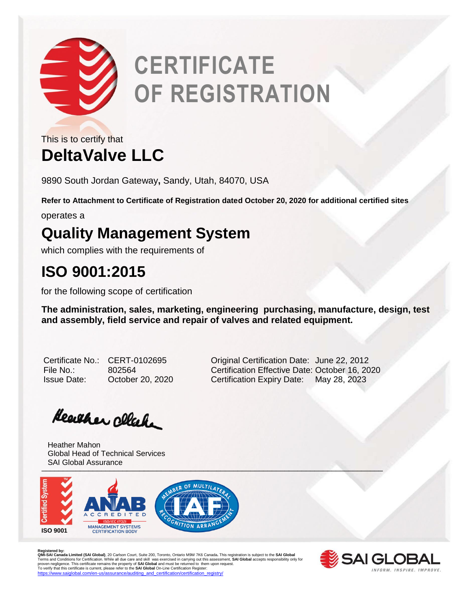

# **CERTIFICATE OF REGISTRATION**

**DeltaValve LLC** This is to certify that

9890 South Jordan Gateway**,** Sandy, Utah, 84070, USA

**Refer to Attachment to Certificate of Registration dated October 20, 2020 for additional certified sites**

operates a

## **Quality Management System**

which complies with the requirements of

## **ISO 9001:2015**

for the following scope of certification

**The administration, sales, marketing, engineering purchasing, manufacture, design, test and assembly, field service and repair of valves and related equipment.** 

Certificate No.: CERT-0102695 Original Certification Date: June 22, 2012 File No.: 802564 Certification Effective Date: October 16, 2020 Issue Date: October 20, 2020 Certification Expiry Date: May 28, 2023

Heather clack

University of the contract of the contract of the contract of the contract of the contract of the contract of Heather Mahon Global Head of Technical Services SAI Global Assurance



Registered by:<br>**QMI-SA Landa Limited (SAI Global)**, 20 Carlson Court, Suite 200, Toronto, Ontario M9W 7K6 Canada. This registration is subject to the **SAI Global**<br>Terms and Conditions for Certification. While all due care